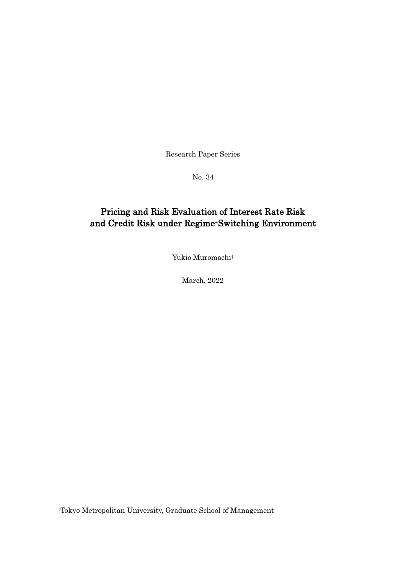Research Paper Series

No. 34

## Pricing and Risk Evaluation of Interest Rate Risk and Credit Risk under Regime-Switching Environment

Yukio Muromachi†

March, 2022

-

<sup>†</sup>Tokyo Metropolitan University, Graduate School of Management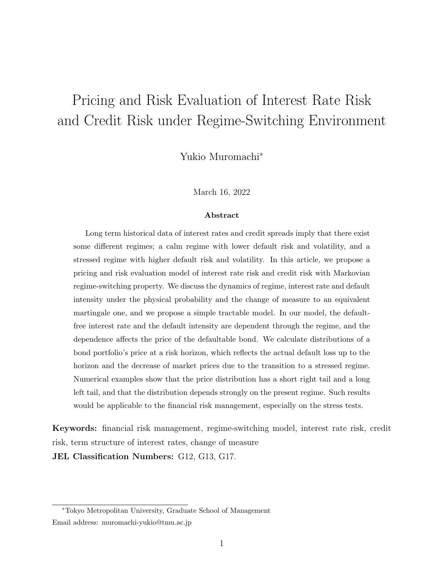# Pricing and Risk Evaluation of Interest Rate Risk and Credit Risk under Regime-Switching Environment

Yukio Muromachi*<sup>∗</sup>*

March 16, 2022

#### **Abstract**

Long term historical data of interest rates and credit spreads imply that there exist some different regimes; a calm regime with lower default risk and volatility, and a stressed regime with higher default risk and volatility. In this article, we propose a pricing and risk evaluation model of interest rate risk and credit risk with Markovian regime-switching property. We discuss the dynamics of regime, interest rate and default intensity under the physical probability and the change of measure to an equivalent martingale one, and we propose a simple tractable model. In our model, the defaultfree interest rate and the default intensity are dependent through the regime, and the dependence affects the price of the defaultable bond. We calculate distributions of a bond portfolio's price at a risk horizon, which reflects the actual default loss up to the horizon and the decrease of market prices due to the transition to a stressed regime. Numerical examples show that the price distribution has a short right tail and a long left tail, and that the distribution depends strongly on the present regime. Such results would be applicable to the financial risk management, especially on the stress tests.

**Keywords:** financial risk management, regime-switching model, interest rate risk, credit risk, term structure of interest rates, change of measure

**JEL Classification Numbers:** G12, G13, G17.

*<sup>∗</sup>*Tokyo Metropolitan University, Graduate School of Management Email address: muromachi-yukio@tmu.ac.jp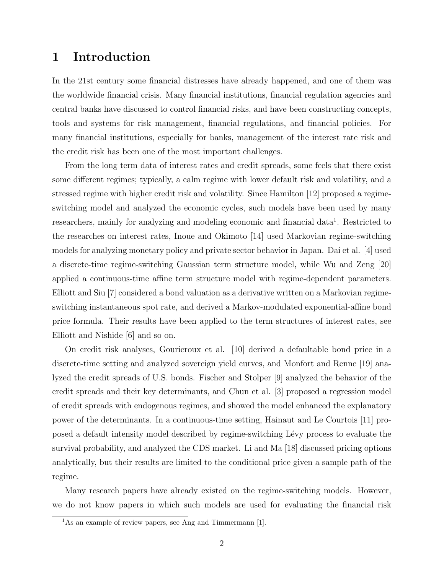### **1 Introduction**

In the 21st century some financial distresses have already happened, and one of them was the worldwide financial crisis. Many financial institutions, financial regulation agencies and central banks have discussed to control financial risks, and have been constructing concepts, tools and systems for risk management, financial regulations, and financial policies. For many financial institutions, especially for banks, management of the interest rate risk and the credit risk has been one of the most important challenges.

From the long term data of interest rates and credit spreads, some feels that there exist some different regimes; typically, a calm regime with lower default risk and volatility, and a stressed regime with higher credit risk and volatility. Since Hamilton [12] proposed a regimeswitching model and analyzed the economic cycles, such models have been used by many researchers, mainly for analyzing and modeling economic and financial data<sup>1</sup>. Restricted to the researches on interest rates, Inoue and Okimoto [14] used Markovian regime-switching models for analyzing monetary policy and private sector behavior in Japan. Dai et al. [4] used a discrete-time regime-switching Gaussian term structure model, while Wu and Zeng [20] applied a continuous-time affine term structure model with regime-dependent parameters. Elliott and Siu [7] considered a bond valuation as a derivative written on a Markovian regimeswitching instantaneous spot rate, and derived a Markov-modulated exponential-affine bond price formula. Their results have been applied to the term structures of interest rates, see Elliott and Nishide [6] and so on.

On credit risk analyses, Gourieroux et al. [10] derived a defaultable bond price in a discrete-time setting and analyzed sovereign yield curves, and Monfort and Renne [19] analyzed the credit spreads of U.S. bonds. Fischer and Stolper [9] analyzed the behavior of the credit spreads and their key determinants, and Chun et al. [3] proposed a regression model of credit spreads with endogenous regimes, and showed the model enhanced the explanatory power of the determinants. In a continuous-time setting, Hainaut and Le Courtois [11] proposed a default intensity model described by regime-switching L´evy process to evaluate the survival probability, and analyzed the CDS market. Li and Ma [18] discussed pricing options analytically, but their results are limited to the conditional price given a sample path of the regime.

Many research papers have already existed on the regime-switching models. However, we do not know papers in which such models are used for evaluating the financial risk

 $1<sup>1</sup>$ As an example of review papers, see Ang and Timmermann [1].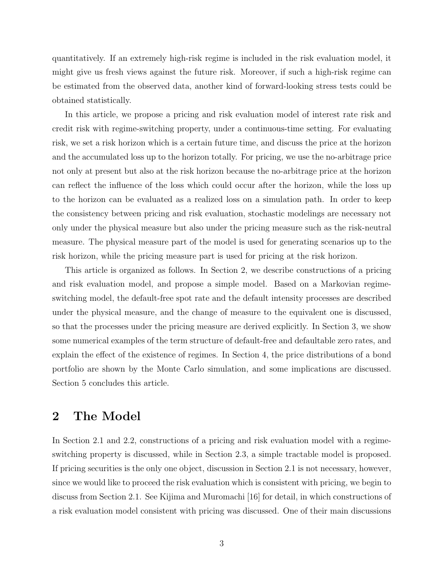quantitatively. If an extremely high-risk regime is included in the risk evaluation model, it might give us fresh views against the future risk. Moreover, if such a high-risk regime can be estimated from the observed data, another kind of forward-looking stress tests could be obtained statistically.

In this article, we propose a pricing and risk evaluation model of interest rate risk and credit risk with regime-switching property, under a continuous-time setting. For evaluating risk, we set a risk horizon which is a certain future time, and discuss the price at the horizon and the accumulated loss up to the horizon totally. For pricing, we use the no-arbitrage price not only at present but also at the risk horizon because the no-arbitrage price at the horizon can reflect the influence of the loss which could occur after the horizon, while the loss up to the horizon can be evaluated as a realized loss on a simulation path. In order to keep the consistency between pricing and risk evaluation, stochastic modelings are necessary not only under the physical measure but also under the pricing measure such as the risk-neutral measure. The physical measure part of the model is used for generating scenarios up to the risk horizon, while the pricing measure part is used for pricing at the risk horizon.

This article is organized as follows. In Section 2, we describe constructions of a pricing and risk evaluation model, and propose a simple model. Based on a Markovian regimeswitching model, the default-free spot rate and the default intensity processes are described under the physical measure, and the change of measure to the equivalent one is discussed, so that the processes under the pricing measure are derived explicitly. In Section 3, we show some numerical examples of the term structure of default-free and defaultable zero rates, and explain the effect of the existence of regimes. In Section 4, the price distributions of a bond portfolio are shown by the Monte Carlo simulation, and some implications are discussed. Section 5 concludes this article.

### **2 The Model**

In Section 2.1 and 2.2, constructions of a pricing and risk evaluation model with a regimeswitching property is discussed, while in Section 2.3, a simple tractable model is proposed. If pricing securities is the only one object, discussion in Section 2.1 is not necessary, however, since we would like to proceed the risk evaluation which is consistent with pricing, we begin to discuss from Section 2.1. See Kijima and Muromachi [16] for detail, in which constructions of a risk evaluation model consistent with pricing was discussed. One of their main discussions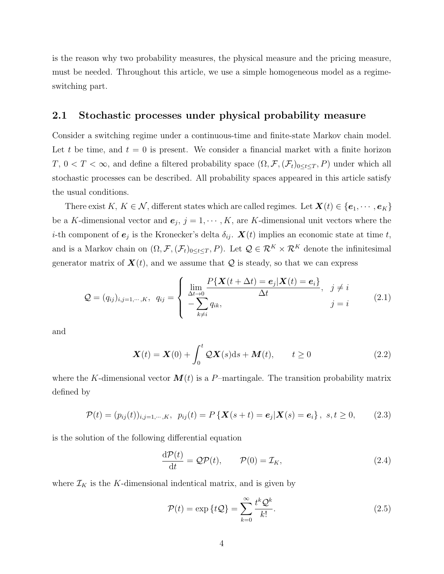is the reason why two probability measures, the physical measure and the pricing measure, must be needed. Throughout this article, we use a simple homogeneous model as a regimeswitching part.

#### **2.1 Stochastic processes under physical probability measure**

Consider a switching regime under a continuous-time and finite-state Markov chain model. Let  $t$  be time, and  $t = 0$  is present. We consider a financial market with a finite horizon *T*,  $0 < T < \infty$ , and define a filtered probability space  $(\Omega, \mathcal{F}, (\mathcal{F}_t)_{0 \le t \le T}, P)$  under which all stochastic processes can be described. All probability spaces appeared in this article satisfy the usual conditions.

There exist  $K, K \in \mathcal{N}$ , different states which are called regimes. Let  $\mathbf{X}(t) \in \{e_1, \dots, e_K\}$ be a *K*-dimensional vector and  $e_j$ ,  $j = 1, \dots, K$ , are *K*-dimensional unit vectors where the *i*-th component of  $e_j$  is the Kronecker's delta  $\delta_{ij}$ .  $\mathbf{X}(t)$  implies an economic state at time *t*, and is a Markov chain on  $(\Omega, \mathcal{F}, (\mathcal{F}_t)_{0 \le t \le T}, P)$ . Let  $\mathcal{Q} \in \mathcal{R}^K \times \mathcal{R}^K$  denote the infinitesimal generator matrix of  $\mathbf{X}(t)$ , and we assume that  $\mathcal{Q}$  is steady, so that we can express

$$
Q = (q_{ij})_{i,j=1,\cdots,K}, q_{ij} = \begin{cases} \lim_{\Delta t \to 0} \frac{P\{\mathbf{X}(t + \Delta t) = \mathbf{e}_j | \mathbf{X}(t) = \mathbf{e}_i\}}{\Delta t}, & j \neq i \\ -\sum_{k \neq i} q_{ik}, & j = i \end{cases}
$$
(2.1)

and

$$
\boldsymbol{X}(t) = \boldsymbol{X}(0) + \int_0^t \mathcal{Q}\boldsymbol{X}(s)ds + \boldsymbol{M}(t), \qquad t \ge 0 \tag{2.2}
$$

where the *K*-dimensional vector  $M(t)$  is a *P*-martingale. The transition probability matrix defined by

$$
\mathcal{P}(t) = (p_{ij}(t))_{i,j=1,\dots,K}, \ \ p_{ij}(t) = P\left\{ \mathbf{X}(s+t) = \mathbf{e}_j | \mathbf{X}(s) = \mathbf{e}_i \right\}, \ s, t \ge 0, \tag{2.3}
$$

is the solution of the following differential equation

$$
\frac{\mathrm{d}\mathcal{P}(t)}{\mathrm{d}t} = \mathcal{Q}\mathcal{P}(t), \qquad \mathcal{P}(0) = \mathcal{I}_K, \tag{2.4}
$$

where  $\mathcal{I}_K$  is the *K*-dimensional indentical matrix, and is given by

$$
\mathcal{P}(t) = \exp\left\{t\mathcal{Q}\right\} = \sum_{k=0}^{\infty} \frac{t^k \mathcal{Q}^k}{k!}.
$$
\n(2.5)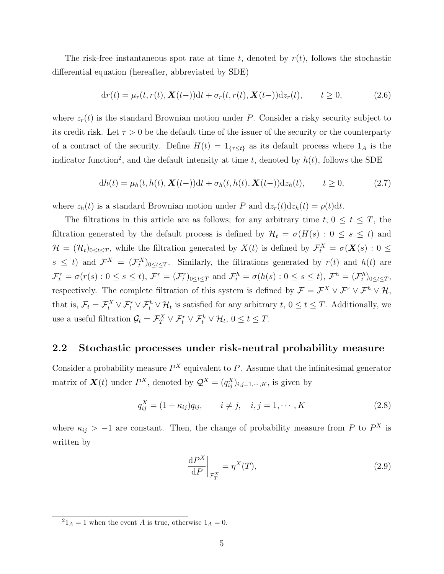The risk-free instantaneous spot rate at time *t*, denoted by *r*(*t*), follows the stochastic differential equation (hereafter, abbreviated by SDE)

$$
dr(t) = \mu_r(t, r(t), \mathbf{X}(t-))dt + \sigma_r(t, r(t), \mathbf{X}(t-))dz_r(t), \qquad t \ge 0,
$$
\n(2.6)

where  $z_r(t)$  is the standard Brownian motion under *P*. Consider a risky security subject to its credit risk. Let  $\tau > 0$  be the default time of the issuer of the security or the counterparty of a contract of the security. Define  $H(t) = 1_{\{\tau \leq t\}}$  as its default process where  $1_A$  is the indicator function<sup>2</sup>, and the default intensity at time  $t$ , denoted by  $h(t)$ , follows the SDE

$$
dh(t) = \mu_h(t, h(t), \mathbf{X}(t-))dt + \sigma_h(t, h(t), \mathbf{X}(t-))dz_h(t), \qquad t \ge 0,
$$
\n(2.7)

where  $z_h(t)$  is a standard Brownian motion under *P* and  $dz_r(t)dz_h(t) = \rho(t)dt$ .

The filtrations in this article are as follows; for any arbitrary time  $t, 0 \leq t \leq T$ , the filtration generated by the default process is defined by  $\mathcal{H}_t = \sigma(H(s) : 0 \le s \le t)$  and  $\mathcal{H} = (\mathcal{H}_t)_{0 \le t \le T}$ , while the filtration generated by  $X(t)$  is defined by  $\mathcal{F}_t^X = \sigma(\mathbf{X}(s): 0 \le t \le T$  $s \leq t$  and  $\mathcal{F}^X = (\mathcal{F}^X_t)_{0 \leq t \leq T}$ . Similarly, the filtrations generated by  $r(t)$  and  $h(t)$  are  $\mathcal{F}_t^r = \sigma(r(s) : 0 \le s \le t)$ ,  $\mathcal{F}^r = (\mathcal{F}_t^r)_{0 \le t \le T}$  and  $\mathcal{F}_t^h = \sigma(h(s) : 0 \le s \le t)$ ,  $\mathcal{F}^h = (\mathcal{F}_t^h)_{0 \le t \le T}$ , respectively. The complete filtration of this system is defined by  $\mathcal{F} = \mathcal{F}^X \vee \mathcal{F}^r \vee \mathcal{F}^h \vee \mathcal{H}$ , that is,  $\mathcal{F}_t = \mathcal{F}_t^X \vee \mathcal{F}_t^r \vee \mathcal{F}_t^h \vee \mathcal{H}_t$  is satisfied for any arbitrary  $t, 0 \le t \le T$ . Additionally, we use a useful filtration  $\mathcal{G}_t = \mathcal{F}_T^X \vee \mathcal{F}_t^r \vee \mathcal{F}_t^h \vee \mathcal{H}_t$ ,  $0 \le t \le T$ .

#### **2.2 Stochastic processes under risk-neutral probability measure**

Consider a probability measure  $P<sup>X</sup>$  equivalent to  $P$ . Assume that the infinitesimal generator matrix of  $\mathbf{X}(t)$  under  $P^X$ , denoted by  $\mathcal{Q}^X = (q_{ij}^X)_{i,j=1,\dots,K}$ , is given by

$$
q_{ij}^X = (1 + \kappa_{ij})q_{ij}, \qquad i \neq j, \quad i, j = 1, \cdots, K
$$
 (2.8)

where  $\kappa_{ij}$  > −1 are constant. Then, the change of probability measure from *P* to  $P^X$  is written by

$$
\left. \frac{\mathrm{d}P^X}{\mathrm{d}P} \right|_{\mathcal{F}_T^X} = \eta^X(T),\tag{2.9}
$$

 $^{2}1_{A} = 1$  when the event *A* is true, otherwise  $1_{A} = 0$ .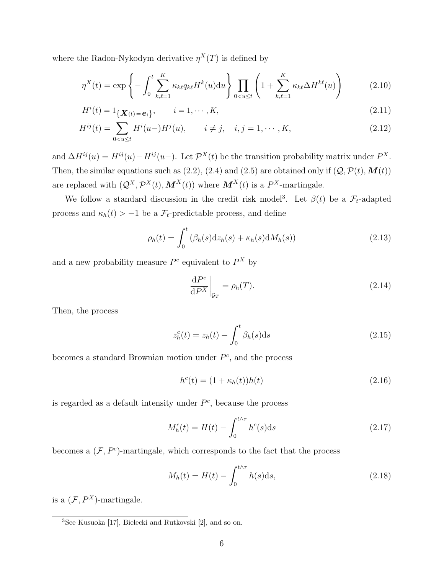where the Radon-Nykodym derivative  $\eta^X(T)$  is defined by

$$
\eta^X(t) = \exp\left\{-\int_0^t \sum_{k,\ell=1}^K \kappa_{k\ell} q_{k\ell} H^k(u) \mathrm{d}u\right\} \prod_{0 < u \le t} \left(1 + \sum_{k,\ell=1}^K \kappa_{k\ell} \Delta H^{k\ell}(u)\right) \tag{2.10}
$$

$$
H^{i}(t) = 1_{\{\mathbf{X}(t) = \mathbf{e}_{i}\}}, \qquad i = 1, \cdots, K,
$$
\n(2.11)

$$
H^{ij}(t) = \sum_{0 < u \le t} H^i(u - H^j(u)), \qquad i \ne j, \quad i, j = 1, \cdots, K,\tag{2.12}
$$

and  $\Delta H^{ij}(u) = H^{ij}(u) - H^{ij}(u-)$ . Let  $\mathcal{P}^X(t)$  be the transition probability matrix under  $P^X$ . Then, the similar equations such as (2.2), (2.4) and (2.5) are obtained only if  $(Q, \mathcal{P}(t), \mathbf{M}(t))$ are replaced with  $(Q^X, \mathcal{P}^X(t), \mathbf{M}^X(t))$  where  $\mathbf{M}^X(t)$  is a  $\mathcal{P}^X$ -martingale.

We follow a standard discussion in the credit risk model<sup>3</sup>. Let  $\beta(t)$  be a  $\mathcal{F}_t$ -adapted process and  $\kappa_h(t) > -1$  be a  $\mathcal{F}_t$ -predictable process, and define

$$
\rho_h(t) = \int_0^t \left(\beta_h(s) \mathrm{d}z_h(s) + \kappa_h(s) \mathrm{d}M_h(s)\right) \tag{2.13}
$$

and a new probability measure  $P^c$  equivalent to  $P^X$  by

$$
\left. \frac{\mathrm{d}P^c}{\mathrm{d}P^X} \right|_{\mathcal{G}_T} = \rho_h(T). \tag{2.14}
$$

Then, the process

$$
z_h^c(t) = z_h(t) - \int_0^t \beta_h(s) \, \mathrm{d}s \tag{2.15}
$$

becomes a standard Brownian motion under *P c* , and the process

$$
hc(t) = (1 + \kappah(t))h(t)
$$
\n(2.16)

is regarded as a default intensity under  $P^c$ , because the process

$$
M_h^c(t) = H(t) - \int_0^{t \wedge \tau} h^c(s) \, \mathrm{d}s \tag{2.17}
$$

becomes a  $(\mathcal{F}, P^c)$ -martingale, which corresponds to the fact that the process

$$
M_h(t) = H(t) - \int_0^{t \wedge \tau} h(s) \, \mathrm{d}s,\tag{2.18}
$$

is a  $(\mathcal{F}, P^X)$ -martingale.

<sup>&</sup>lt;sup>3</sup>See Kusuoka [17], Bielecki and Rutkovski [2], and so on.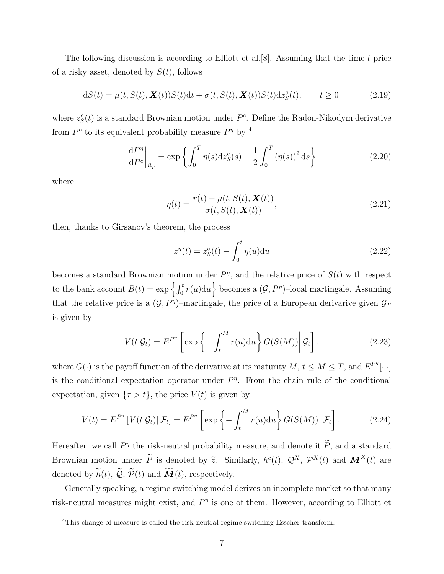The following discussion is according to Elliott et al.[8]. Assuming that the time *t* price of a risky asset, denoted by *S*(*t*), follows

$$
dS(t) = \mu(t, S(t), \mathbf{X}(t))S(t)dt + \sigma(t, S(t), \mathbf{X}(t))S(t)dz_S^c(t), \qquad t \ge 0
$$
\n(2.19)

where  $z_S^c(t)$  is a standard Brownian motion under  $P^c$ . Define the Radon-Nikodym derivative from  $P^c$  to its equivalent probability measure  $P^{\eta}$  by <sup>4</sup>

$$
\left. \frac{\mathrm{d}P^{\eta}}{\mathrm{d}P^c} \right|_{\mathcal{G}_T} = \exp \left\{ \int_0^T \eta(s) \mathrm{d}z_S^c(s) - \frac{1}{2} \int_0^T \left( \eta(s) \right)^2 \mathrm{d}s \right\} \tag{2.20}
$$

where

$$
\eta(t) = \frac{r(t) - \mu(t, S(t), \mathbf{X}(t))}{\sigma(t, S(t), \mathbf{X}(t))},\tag{2.21}
$$

then, thanks to Girsanov's theorem, the process

$$
z^{\eta}(t) = z_S^c(t) - \int_0^t \eta(u) \mathrm{d}u \tag{2.22}
$$

becomes a standard Brownian motion under  $P^{\eta}$ , and the relative price of  $S(t)$  with respect to the bank account  $B(t) = \exp\left\{\int_0^t r(u) \mathrm{d}u\right\}$  becomes a  $(\mathcal{G}, P^{\eta})$ -local martingale. Assuming that the relative price is a  $(G, P<sup>η</sup>)$ -martingale, the price of a European derivarive given  $G<sub>T</sub>$ is given by

$$
V(t|\mathcal{G}_t) = E^{P^{\eta}} \left[ \exp \left\{ - \int_t^M r(u) \mathrm{d}u \right\} G(S(M)) \middle| \mathcal{G}_t \right], \tag{2.23}
$$

where  $G(\cdot)$  is the payoff function of the derivative at its maturity  $M, t \leq M \leq T$ , and  $E^{P^{\eta}}[\cdot] \cdot$ is the conditional expectation operator under  $P<sup>\eta</sup>$ . From the chain rule of the conditional expectation, given  $\{\tau > t\}$ , the price  $V(t)$  is given by

$$
V(t) = E^{P^{\eta}} \left[ V(t|\mathcal{G}_t) | \mathcal{F}_t \right] = E^{P^{\eta}} \left[ \exp \left\{ - \int_t^M r(u) \mathrm{d}u \right\} G(S(M)) \middle| \mathcal{F}_t \right]. \tag{2.24}
$$

Hereafter, we call  $P^{\eta}$  the risk-neutral probability measure, and denote it  $\tilde{P}$ , and a standard Brownian motion under  $\widetilde{P}$  is denoted by  $\widetilde{z}$ . Similarly,  $h^c(t)$ ,  $\mathcal{Q}^X$ ,  $\mathcal{P}^X(t)$  and  $\mathbf{M}^X(t)$  are denoted by  $\widetilde{h}(t)$ ,  $\widetilde{Q}$ ,  $\widetilde{\mathcal{P}}(t)$  and  $\widetilde{\mathbf{M}}(t)$ , respectively.

Generally speaking, a regime-switching model derives an incomplete market so that many risk-neutral measures might exist, and  $P<sup>\eta</sup>$  is one of them. However, according to Elliott et

<sup>&</sup>lt;sup>4</sup>This change of measure is called the risk-neutral regime-switching Esscher transform.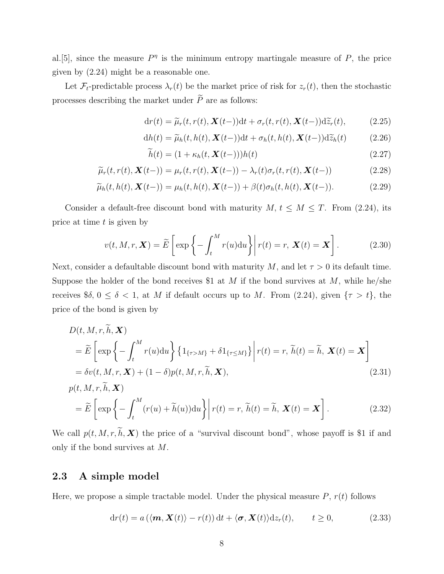al. [5], since the measure  $P^{\eta}$  is the minimum entropy martingale measure of P, the price given by (2.24) might be a reasonable one.

Let  $\mathcal{F}_t$ -predictable process  $\lambda_r(t)$  be the market price of risk for  $z_r(t)$ , then the stochastic processes describing the market under  $\widetilde{P}$  are as follows:

$$
dr(t) = \widetilde{\mu}_r(t, r(t), \mathbf{X}(t-))dt + \sigma_r(t, r(t), \mathbf{X}(t-))d\widetilde{z}_r(t),
$$
 (2.25)

$$
dh(t) = \widetilde{\mu}_h(t, h(t), \mathbf{X}(t-))dt + \sigma_h(t, h(t), \mathbf{X}(t-))d\widetilde{z}_h(t)
$$
 (2.26)

$$
\widetilde{h}(t) = (1 + \kappa_h(t, \mathbf{X}(t-)))h(t)
$$
\n(2.27)

$$
\widetilde{\mu}_r(t,r(t),\mathbf{X}(t-)) = \mu_r(t,r(t),\mathbf{X}(t-)) - \lambda_r(t)\sigma_r(t,r(t),\mathbf{X}(t-))
$$
\n(2.28)

$$
\widetilde{\mu}_h(t, h(t), \mathbf{X}(t-)) = \mu_h(t, h(t), \mathbf{X}(t-)) + \beta(t)\sigma_h(t, h(t), \mathbf{X}(t-)).
$$
\n(2.29)

Consider a default-free discount bond with maturity  $M, t \leq M \leq T$ . From (2.24), its price at time *t* is given by

$$
v(t, M, r, \mathbf{X}) = \widetilde{E}\left[\exp\left\{-\int_t^M r(u) \mathrm{d}u\right\}\middle| r(t) = r, \mathbf{X}(t) = \mathbf{X}\right].\tag{2.30}
$$

Next, consider a defaultable discount bond with maturity *M*, and let  $\tau > 0$  its default time. Suppose the holder of the bond receives \$1 at *M* if the bond survives at *M*, while he/she receives  $\delta$ ,  $0 \le \delta < 1$ , at *M* if default occurs up to *M*. From (2.24), given  $\{\tau > t\}$ , the price of the bond is given by

$$
D(t, M, r, \tilde{h}, \mathbf{X})
$$
  
=  $\tilde{E}\left[\exp\left\{-\int_{t}^{M} r(u) \mathrm{d}u\right\} \{1_{\{\tau>M\}} + \delta 1_{\{\tau \le M\}}\} \middle| r(t) = r, \tilde{h}(t) = \tilde{h}, \mathbf{X}(t) = \mathbf{X}\right]$   
=  $\delta v(t, M, r, \mathbf{X}) + (1 - \delta)p(t, M, r, \tilde{h}, \mathbf{X}),$  (2.31)

$$
p(t, M, r, \tilde{h}, \mathbf{X})
$$
  
=  $\widetilde{E}\left[\exp\left\{-\int_t^M (r(u) + \widetilde{h}(u))du\right\}\middle| r(t) = r, \widetilde{h}(t) = \widetilde{h}, \mathbf{X}(t) = \mathbf{X}\right].$  (2.32)

We call  $p(t, M, r, \tilde{h}, \mathbf{X})$  the price of a "survival discount bond", whose payoff is \$1 if and only if the bond survives at *M*.

### **2.3 A simple model**

Here, we propose a simple tractable model. Under the physical measure  $P$ ,  $r(t)$  follows

$$
dr(t) = a(\langle \mathbf{m}, \mathbf{X}(t) \rangle - r(t)) dt + \langle \mathbf{\sigma}, \mathbf{X}(t) \rangle dz_r(t), \qquad t \ge 0,
$$
\n(2.33)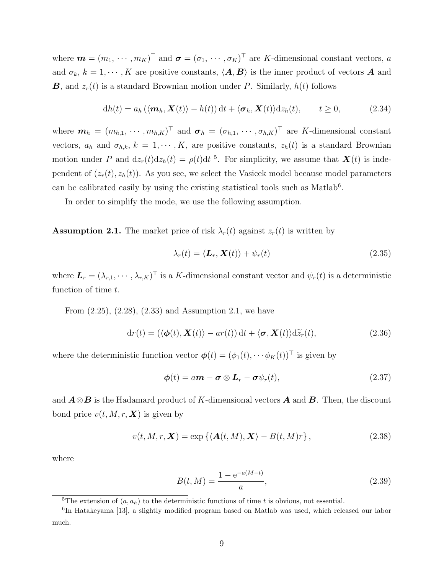where  $\mathbf{m} = (m_1, \dots, m_K)^\top$  and  $\mathbf{\sigma} = (\sigma_1, \dots, \sigma_K)^\top$  are *K*-dimensional constant vectors, *a* and  $\sigma_k$ ,  $k = 1, \dots, K$  are positive constants,  $\langle A, B \rangle$  is the inner product of vectors *A* and *B*, and  $z_r(t)$  is a standard Brownian motion under *P*. Similarly,  $h(t)$  follows

$$
dh(t) = a_h \left( \langle \mathbf{m}_h, \mathbf{X}(t) \rangle - h(t) \right) dt + \langle \mathbf{\sigma}_h, \mathbf{X}(t) \rangle dz_h(t), \qquad t \ge 0,
$$
 (2.34)

where  $\mathbf{m}_h = (m_{h,1}, \dots, m_{h,K})^\top$  and  $\mathbf{\sigma}_h = (\sigma_{h,1}, \dots, \sigma_{h,K})^\top$  are K-dimensional constant vectors,  $a_h$  and  $\sigma_{h,k}$ ,  $k = 1, \dots, K$ , are positive constants,  $z_h(t)$  is a standard Brownian motion under *P* and  $dz_r(t)dz_h(t) = \rho(t)dt^{-5}$ . For simplicity, we assume that  $\mathbf{X}(t)$  is independent of  $(z_r(t), z_h(t))$ . As you see, we select the Vasicek model because model parameters can be calibrated easily by using the existing statistical tools such as Matlab<sup>6</sup>.

In order to simplify the mode, we use the following assumption.

**Assumption 2.1.** The market price of risk  $\lambda_r(t)$  against  $z_r(t)$  is written by

$$
\lambda_r(t) = \langle \mathbf{L}_r, \mathbf{X}(t) \rangle + \psi_r(t) \tag{2.35}
$$

where  $\mathbf{L}_r = (\lambda_{r,1}, \cdots, \lambda_{r,K})^\top$  is a K-dimensional constant vector and  $\psi_r(t)$  is a deterministic function of time *t*.

From (2.25), (2.28), (2.33) and Assumption 2.1, we have

$$
dr(t) = (\langle \phi(t), \mathbf{X}(t) \rangle - ar(t)) dt + \langle \boldsymbol{\sigma}, \mathbf{X}(t) \rangle d\tilde{z}_r(t),
$$
\n(2.36)

where the deterministic function vector  $\boldsymbol{\phi}(t) = (\phi_1(t), \cdots \phi_K(t))^{\top}$  is given by

$$
\boldsymbol{\phi}(t) = a\boldsymbol{m} - \boldsymbol{\sigma} \otimes \boldsymbol{L}_r - \boldsymbol{\sigma} \psi_r(t), \qquad (2.37)
$$

and *A⊗B* is the Hadamard product of *K*-dimensional vectors *A* and *B*. Then, the discount bond price  $v(t, M, r, \mathbf{X})$  is given by

$$
v(t, M, r, \mathbf{X}) = \exp\left\{ \langle \mathbf{A}(t, M), \mathbf{X} \rangle - B(t, M)r \right\},\tag{2.38}
$$

where

$$
B(t, M) = \frac{1 - e^{-a(M - t)}}{a},
$$
\n(2.39)

<sup>&</sup>lt;sup>5</sup>The extension of  $(a, a_h)$  to the deterministic functions of time *t* is obvious, not essential.

<sup>&</sup>lt;sup>6</sup>In Hatakeyama [13], a slightly modified program based on Matlab was used, which released our labor much.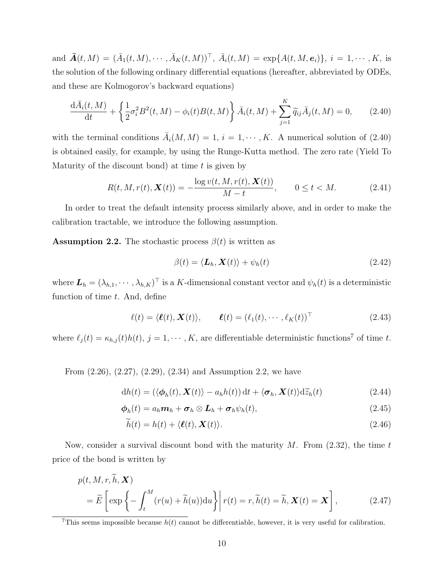and  $\bar{A}(t, M) = (\bar{A}_1(t, M), \cdots, \bar{A}_K(t, M))^{\top}$ ,  $\bar{A}_i(t, M) = \exp\{A(t, M, e_i)\}, i = 1, \cdots, K$ , is the solution of the following ordinary differential equations (hereafter, abbreviated by ODEs, and these are Kolmogorov's backward equations)

$$
\frac{d\bar{A}_i(t,M)}{dt} + \left\{ \frac{1}{2}\sigma_i^2 B^2(t,M) - \phi_i(t)B(t,M) \right\} \bar{A}_i(t,M) + \sum_{j=1}^K \tilde{q}_{ij} \bar{A}_j(t,M) = 0, \qquad (2.40)
$$

with the terminal conditions  $\bar{A}_i(M, M) = 1, i = 1, \dots, K$ . A numerical solution of (2.40) is obtained easily, for example, by using the Runge-Kutta method. The zero rate (Yield To Maturity of the discount bond) at time *t* is given by

$$
R(t, M, r(t), \mathbf{X}(t)) = -\frac{\log v(t, M, r(t), \mathbf{X}(t))}{M - t}, \qquad 0 \le t < M. \tag{2.41}
$$

In order to treat the default intensity process similarly above, and in order to make the calibration tractable, we introduce the following assumption.

**Assumption 2.2.** The stochastic process  $\beta(t)$  is written as

$$
\beta(t) = \langle \mathbf{L}_h, \mathbf{X}(t) \rangle + \psi_h(t) \tag{2.42}
$$

where  $\mathbf{L}_h = (\lambda_{h,1}, \cdots, \lambda_{h,K})^\top$  is a K-dimensional constant vector and  $\psi_h(t)$  is a deterministic function of time *t*. And, define

$$
\ell(t) = \langle \ell(t), \mathbf{X}(t) \rangle, \qquad \ell(t) = (\ell_1(t), \cdots, \ell_K(t))^{\top}
$$
\n(2.43)

where  $\ell_j(t) = \kappa_{h,j}(t)h(t)$ ,  $j = 1, \dots, K$ , are differentiable deterministic functions<sup>7</sup> of time *t*.

From (2.26), (2.27), (2.29), (2.34) and Assumption 2.2, we have

$$
dh(t) = (\langle \boldsymbol{\phi}_h(t), \boldsymbol{X}(t) \rangle - a_h h(t)) dt + \langle \boldsymbol{\sigma}_h, \boldsymbol{X}(t) \rangle d\widetilde{z}_h(t)
$$
\n(2.44)

$$
\boldsymbol{\phi}_h(t) = a_h \boldsymbol{m}_h + \boldsymbol{\sigma}_h \otimes \boldsymbol{L}_h + \boldsymbol{\sigma}_h \psi_h(t), \qquad (2.45)
$$

$$
\widetilde{h}(t) = h(t) + \langle \ell(t), \mathbf{X}(t) \rangle. \tag{2.46}
$$

Now, consider a survival discount bond with the maturity *M*. From (2.32), the time *t* price of the bond is written by

$$
p(t, M, r, \tilde{h}, \mathbf{X})
$$
  
=  $\widetilde{E}\left[\exp\left\{-\int_t^M (r(u) + \widetilde{h}(u))du\right\}\middle| r(t) = r, \widetilde{h}(t) = \widetilde{h}, \mathbf{X}(t) = \mathbf{X}\right],$  (2.47)

<sup>&</sup>lt;sup>7</sup>This seems impossible because  $h(t)$  cannot be differentiable, however, it is very useful for calibration.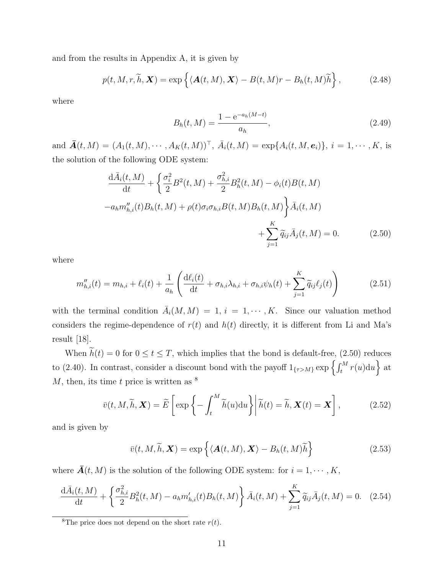and from the results in Appendix A, it is given by

$$
p(t, M, r, \widetilde{h}, \mathbf{X}) = \exp\left\{ \langle \mathbf{A}(t, M), \mathbf{X} \rangle - B(t, M)r - B_h(t, M)\widetilde{h} \right\},\tag{2.48}
$$

where

$$
B_h(t, M) = \frac{1 - e^{-a_h(M - t)}}{a_h},
$$
\n(2.49)

and  $\bar{A}(t, M) = (A_1(t, M), \cdots, A_K(t, M))^T$ ,  $\bar{A}_i(t, M) = \exp\{A_i(t, M, e_i)\}, i = 1, \cdots, K$ , is the solution of the following ODE system:

$$
\frac{\mathrm{d}\bar{A}_i(t,M)}{\mathrm{d}t} + \left\{ \frac{\sigma_i^2}{2} B^2(t,M) + \frac{\sigma_{h,i}^2}{2} B_h^2(t,M) - \phi_i(t) B(t,M) \right\}
$$
\n
$$
-a_h m_{h,i}''(t) B_h(t,M) + \rho(t) \sigma_i \sigma_{h,i} B(t,M) B_h(t,M) \right\} \bar{A}_i(t,M)
$$
\n
$$
+ \sum_{j=1}^K \widetilde{q}_{ij} \bar{A}_j(t,M) = 0. \tag{2.50}
$$

where

$$
m_{h,i}''(t) = m_{h,i} + \ell_i(t) + \frac{1}{a_h} \left( \frac{\mathrm{d}\ell_i(t)}{\mathrm{d}t} + \sigma_{h,i} \lambda_{h,i} + \sigma_{h,i} \psi_h(t) + \sum_{j=1}^K \widetilde{q}_{ij} \ell_j(t) \right) \tag{2.51}
$$

with the terminal condition  $\overline{A}_i(M, M) = 1, i = 1, \dots, K$ . Since our valuation method considers the regime-dependence of  $r(t)$  and  $h(t)$  directly, it is different from Li and Ma's result [18].

When  $h(t) = 0$  for  $0 \le t \le T$ , which implies that the bond is default-free, (2.50) reduces to (2.40). In contrast, consider a discount bond with the payoff  $1_{\{\tau>M\}} \exp\left\{\int_t^M r(u) \mathrm{d}u\right\}$  at *M*, then, its time *t* price is written as <sup>8</sup>

$$
\bar{v}(t, M, \widetilde{h}, \mathbf{X}) = \widetilde{E}\left[\exp\left\{-\int_t^M \widetilde{h}(u) \mathrm{d}u\right\}\middle|\widetilde{h}(t) = \widetilde{h}, \mathbf{X}(t) = \mathbf{X}\right],\tag{2.52}
$$

and is given by

$$
\bar{v}(t, M, \widetilde{h}, \mathbf{X}) = \exp \left\{ \langle \mathbf{A}(t, M), \mathbf{X} \rangle - B_h(t, M) \widetilde{h} \right\}
$$
(2.53)

where  $\overline{A}(t, M)$  is the solution of the following ODE system: for  $i = 1, \dots, K$ ,

$$
\frac{d\bar{A}_i(t,M)}{dt} + \left\{ \frac{\sigma_{h,i}^2}{2} B_h^2(t,M) - a_h m_{h,i}'(t) B_h(t,M) \right\} \bar{A}_i(t,M) + \sum_{j=1}^K \widetilde{q}_{ij} \bar{A}_j(t,M) = 0. \tag{2.54}
$$

<sup>&</sup>lt;sup>8</sup>The price does not depend on the short rate  $r(t)$ .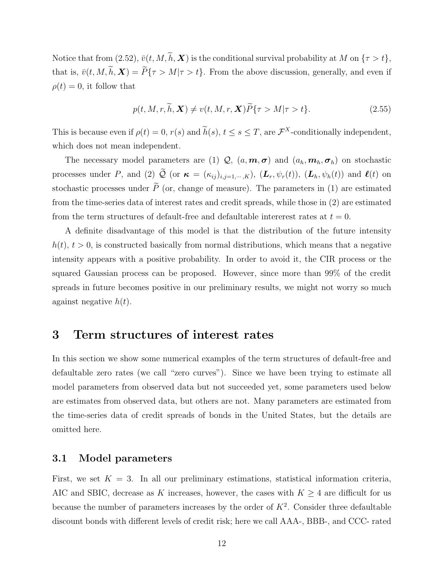Notice that from (2.52),  $\bar{v}(t, M, \tilde{h}, \mathbf{X})$  is the conditional survival probability at *M* on  $\{\tau > t\}$ , that is,  $\bar{v}(t, M, \tilde{h}, \mathbf{X}) = \tilde{P}\{\tau > M | \tau > t\}$ . From the above discussion, generally, and even if  $\rho(t) = 0$ , it follow that

$$
p(t, M, r, \widetilde{h}, \mathbf{X}) \neq v(t, M, r, \mathbf{X}) \widetilde{P} \{ \tau > M | \tau > t \}. \tag{2.55}
$$

This is because even if  $\rho(t) = 0$ ,  $r(s)$  and  $h(s)$ ,  $t \le s \le T$ , are  $\mathcal{F}^X$ -conditionally independent, which does not mean independent.

The necessary model parameters are (1)  $Q$ ,  $(a, m, \sigma)$  and  $(a_h, m_h, \sigma_h)$  on stochastic processes under P, and (2)  $\widetilde{Q}$  (or  $\kappa = (\kappa_{ij})_{i,j=1,\dots,K}$ ),  $(L_r, \psi_r(t))$ ,  $(L_h, \psi_h(t))$  and  $\ell(t)$  on stochastic processes under  $\tilde{P}$  (or, change of measure). The parameters in (1) are estimated from the time-series data of interest rates and credit spreads, while those in (2) are estimated from the term structures of default-free and defaultable intererest rates at  $t = 0$ .

A definite disadvantage of this model is that the distribution of the future intensity  $h(t)$ ,  $t > 0$ , is constructed basically from normal distributions, which means that a negative intensity appears with a positive probability. In order to avoid it, the CIR process or the squared Gaussian process can be proposed. However, since more than 99% of the credit spreads in future becomes positive in our preliminary results, we might not worry so much against negative *h*(*t*).

### **3 Term structures of interest rates**

In this section we show some numerical examples of the term structures of default-free and defaultable zero rates (we call "zero curves"). Since we have been trying to estimate all model parameters from observed data but not succeeded yet, some parameters used below are estimates from observed data, but others are not. Many parameters are estimated from the time-series data of credit spreads of bonds in the United States, but the details are omitted here.

#### **3.1 Model parameters**

First, we set  $K = 3$ . In all our preliminary estimations, statistical information criteria, AIC and SBIC, decrease as *K* increases, however, the cases with  $K \geq 4$  are difficult for us because the number of parameters increases by the order of  $K^2$ . Consider three defaultable discount bonds with different levels of credit risk; here we call AAA-, BBB-, and CCC- rated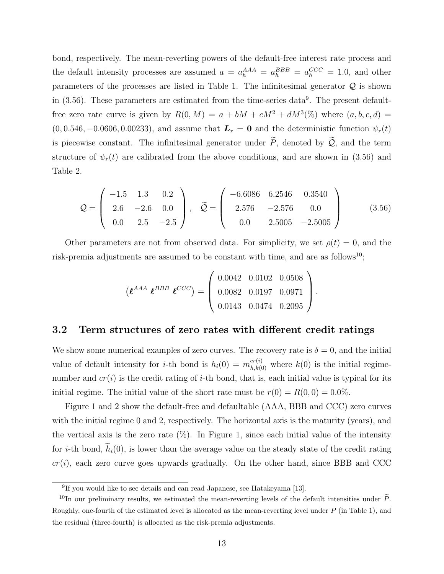bond, respectively. The mean-reverting powers of the default-free interest rate process and the default intensity processes are assumed  $a = a_h^{AAA} = a_h^{BBB} = a_h^{CCC} = 1.0$ , and other parameters of the processes are listed in Table 1. The infinitesimal generator *Q* is shown in  $(3.56)$ . These parameters are estimated from the time-series data<sup>9</sup>. The present defaultfree zero rate curve is given by  $R(0, M) = a + bM + cM^2 + dM^3(\%)$  where  $(a, b, c, d)$  $(0, 0.546, -0.0606, 0.00233)$ , and assume that  $\mathbf{L}_r = \mathbf{0}$  and the deterministic function  $\psi_r(t)$ is piecewise constant. The infinitesimal generator under  $\tilde{P}$ , denoted by  $\tilde{Q}$ , and the term structure of  $\psi_r(t)$  are calibrated from the above conditions, and are shown in (3.56) and Table 2.

$$
Q = \begin{pmatrix} -1.5 & 1.3 & 0.2 \\ 2.6 & -2.6 & 0.0 \\ 0.0 & 2.5 & -2.5 \end{pmatrix}, \quad \widetilde{Q} = \begin{pmatrix} -6.6086 & 6.2546 & 0.3540 \\ 2.576 & -2.576 & 0.0 \\ 0.0 & 2.5005 & -2.5005 \end{pmatrix}
$$
(3.56)

Other parameters are not from observed data. For simplicity, we set  $\rho(t) = 0$ , and the risk-premia adjustments are assumed to be constant with time, and are as follows<sup>10</sup>;

$$
\left(\boldsymbol{\ell}^{AAA} \ \boldsymbol{\ell}^{BBB} \ \boldsymbol{\ell}^{CCC}\right) = \left(\begin{array}{ccc} 0.0042 & 0.0102 & 0.0508 \\ 0.0082 & 0.0197 & 0.0971 \\ 0.0143 & 0.0474 & 0.2095 \end{array}\right).
$$

#### **3.2 Term structures of zero rates with different credit ratings**

We show some numerical examples of zero curves. The recovery rate is  $\delta = 0$ , and the initial value of default intensity for *i*-th bond is  $h_i(0) = m_{h,k(0)}^{cr(i)}$  where  $k(0)$  is the initial regimenumber and  $cr(i)$  is the credit rating of *i*-th bond, that is, each initial value is typical for its initial regime. The initial value of the short rate must be  $r(0) = R(0,0) = 0.0\%$ .

Figure 1 and 2 show the default-free and defaultable (AAA, BBB and CCC) zero curves with the initial regime 0 and 2, respectively. The horizontal axis is the maturity (years), and the vertical axis is the zero rate  $(\%)$ . In Figure 1, since each initial value of the intensity for *i*-th bond,  $\tilde{h}_i(0)$ , is lower than the average value on the steady state of the credit rating  $cr(i)$ , each zero curve goes upwards gradually. On the other hand, since BBB and CCC

<sup>&</sup>lt;sup>9</sup>If you would like to see details and can read Japanese, see Hatakeyama [13].

<sup>&</sup>lt;sup>10</sup>In our preliminary results, we estimated the mean-reverting levels of the default intensities under  $\tilde{P}$ . Roughly, one-fourth of the estimated level is allocated as the mean-reverting level under *P* (in Table 1), and the residual (three-fourth) is allocated as the risk-premia adjustments.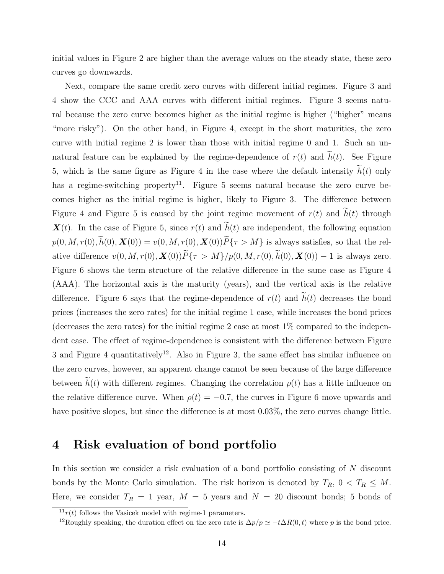initial values in Figure 2 are higher than the average values on the steady state, these zero curves go downwards.

Next, compare the same credit zero curves with different initial regimes. Figure 3 and 4 show the CCC and AAA curves with different initial regimes. Figure 3 seems natural because the zero curve becomes higher as the initial regime is higher ("higher" means "more risky"). On the other hand, in Figure 4, except in the short maturities, the zero curve with initial regime 2 is lower than those with initial regime 0 and 1. Such an unnatural feature can be explained by the regime-dependence of  $r(t)$  and  $\tilde{h}(t)$ . See Figure 5, which is the same figure as Figure 4 in the case where the default intensity  $\tilde{h}(t)$  only has a regime-switching property<sup>11</sup>. Figure 5 seems natural because the zero curve becomes higher as the initial regime is higher, likely to Figure 3. The difference between Figure 4 and Figure 5 is caused by the joint regime movement of  $r(t)$  and  $\tilde{h}(t)$  through  $\mathbf{X}(t)$ . In the case of Figure 5, since  $r(t)$  and  $\tilde{h}(t)$  are independent, the following equation  $p(0, M, r(0), \widetilde{h}(0), \mathbf{X}(0)) = v(0, M, r(0), \mathbf{X}(0))\widetilde{P}\{\tau > M\}$  is always satisfies, so that the relative difference  $v(0, M, r(0), \mathbf{X}(0))\widetilde{P}\{\tau > M\}/p(0, M, r(0), \widetilde{h}(0), \mathbf{X}(0)) - 1$  is always zero. Figure 6 shows the term structure of the relative difference in the same case as Figure 4 (AAA). The horizontal axis is the maturity (years), and the vertical axis is the relative difference. Figure 6 says that the regime-dependence of  $r(t)$  and  $\tilde{h}(t)$  decreases the bond prices (increases the zero rates) for the initial regime 1 case, while increases the bond prices (decreases the zero rates) for the initial regime 2 case at most  $1\%$  compared to the independent case. The effect of regime-dependence is consistent with the difference between Figure 3 and Figure 4 quantitatively<sup>12</sup>. Also in Figure 3, the same effect has similar influence on the zero curves, however, an apparent change cannot be seen because of the large difference between  $h(t)$  with different regimes. Changing the correlation  $\rho(t)$  has a little influence on the relative difference curve. When  $\rho(t) = -0.7$ , the curves in Figure 6 move upwards and have positive slopes, but since the difference is at most 0*.*03%, the zero curves change little.

### **4 Risk evaluation of bond portfolio**

In this section we consider a risk evaluation of a bond portfolio consisting of *N* discount bonds by the Monte Carlo simulation. The risk horizon is denoted by  $T_R$ ,  $0 < T_R \leq M$ . Here, we consider  $T_R = 1$  year,  $M = 5$  years and  $N = 20$  discount bonds; 5 bonds of

 $11r(t)$  follows the Vasicek model with regime-1 parameters.

<sup>&</sup>lt;sup>12</sup>Roughly speaking, the duration effect on the zero rate is  $\Delta p/p \simeq -t\Delta R(0,t)$  where *p* is the bond price.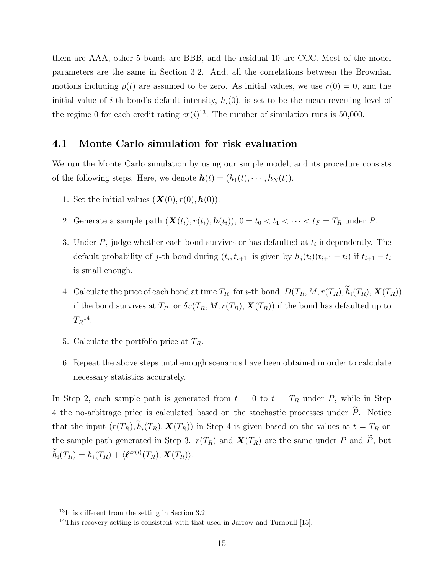them are AAA, other 5 bonds are BBB, and the residual 10 are CCC. Most of the model parameters are the same in Section 3.2. And, all the correlations between the Brownian motions including  $\rho(t)$  are assumed to be zero. As initial values, we use  $r(0) = 0$ , and the initial value of *i*-th bond's default intensity,  $h_i(0)$ , is set to be the mean-reverting level of the regime 0 for each credit rating  $cr(i)^{13}$ . The number of simulation runs is 50,000.

#### **4.1 Monte Carlo simulation for risk evaluation**

We run the Monte Carlo simulation by using our simple model, and its procedure consists of the following steps. Here, we denote  $h(t) = (h_1(t), \dots, h_N(t)).$ 

- 1. Set the initial values  $(X(0), r(0), h(0))$ .
- 2. Generate a sample path  $(X(t_i), r(t_i), h(t_i))$ ,  $0 = t_0 < t_1 < \cdots < t_F = T_R$  under *P*.
- 3. Under *P*, judge whether each bond survives or has defaulted at *t<sup>i</sup>* independently. The default probability of j-th bond during  $(t_i, t_{i+1}]$  is given by  $h_j(t_i)(t_{i+1} - t_i)$  if  $t_{i+1} - t_i$ is small enough.
- 4. Calculate the price of each bond at time  $T_R$ ; for *i*-th bond,  $D(T_R, M, r(T_R), \tilde{h}_i(T_R), \mathbf{X}(T_R))$ if the bond survives at  $T_R$ , or  $\delta v(T_R, M, r(T_R), \mathbf{X}(T_R))$  if the bond has defaulted up to  $T_R$ <sup>14</sup>.
- 5. Calculate the portfolio price at *TR*.
- 6. Repeat the above steps until enough scenarios have been obtained in order to calculate necessary statistics accurately.

In Step 2, each sample path is generated from  $t = 0$  to  $t = T_R$  under P, while in Step 4 the no-arbitrage price is calculated based on the stochastic processes under  $\tilde{P}$ . Notice that the input  $(r(T_R), \tilde{h}_i(T_R), \mathbf{X}(T_R))$  in Step 4 is given based on the values at  $t = T_R$  on the sample path generated in Step 3.  $r(T_R)$  and  $\mathbf{X}(T_R)$  are the same under *P* and  $\widetilde{P}$ , but  $\widetilde{h}_i(T_R) = h_i(T_R) + \langle \boldsymbol{\ell}^{cr(i)}(T_R), \boldsymbol{X}(T_R) \rangle.$ 

<sup>13</sup>It is different from the setting in Section 3.2.

 $14$ This recovery setting is consistent with that used in Jarrow and Turnbull [15].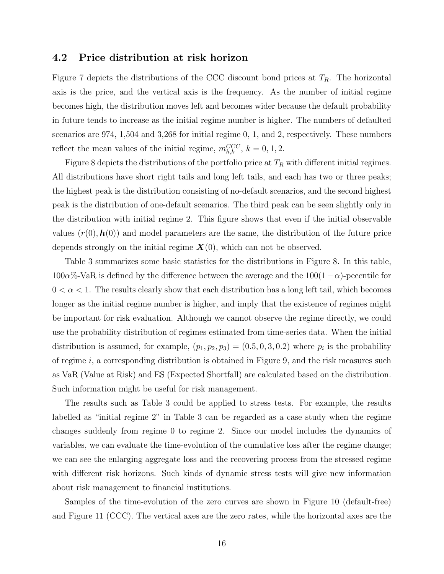#### **4.2 Price distribution at risk horizon**

Figure 7 depicts the distributions of the CCC discount bond prices at *TR*. The horizontal axis is the price, and the vertical axis is the frequency. As the number of initial regime becomes high, the distribution moves left and becomes wider because the default probability in future tends to increase as the initial regime number is higher. The numbers of defaulted scenarios are 974, 1,504 and 3,268 for initial regime 0, 1, and 2, respectively. These numbers reflect the mean values of the initial regime,  $m_{h,k}^{CCC}$ ,  $k = 0, 1, 2$ .

Figure 8 depicts the distributions of the portfolio price at *T<sup>R</sup>* with different initial regimes. All distributions have short right tails and long left tails, and each has two or three peaks; the highest peak is the distribution consisting of no-default scenarios, and the second highest peak is the distribution of one-default scenarios. The third peak can be seen slightly only in the distribution with initial regime 2. This figure shows that even if the initial observable values  $(r(0), h(0))$  and model parameters are the same, the distribution of the future price depends strongly on the initial regime  $\mathbf{X}(0)$ , which can not be observed.

Table 3 summarizes some basic statistics for the distributions in Figure 8. In this table,  $100\alpha\%$ -VaR is defined by the difference between the average and the  $100(1-\alpha)$ -pecentile for  $0 < \alpha < 1$ . The results clearly show that each distribution has a long left tail, which becomes longer as the initial regime number is higher, and imply that the existence of regimes might be important for risk evaluation. Although we cannot observe the regime directly, we could use the probability distribution of regimes estimated from time-series data. When the initial distribution is assumed, for example,  $(p_1, p_2, p_3) = (0.5, 0, 3, 0.2)$  where  $p_i$  is the probability of regime *i*, a corresponding distribution is obtained in Figure 9, and the risk measures such as VaR (Value at Risk) and ES (Expected Shortfall) are calculated based on the distribution. Such information might be useful for risk management.

The results such as Table 3 could be applied to stress tests. For example, the results labelled as "initial regime 2" in Table 3 can be regarded as a case study when the regime changes suddenly from regime 0 to regime 2. Since our model includes the dynamics of variables, we can evaluate the time-evolution of the cumulative loss after the regime change; we can see the enlarging aggregate loss and the recovering process from the stressed regime with different risk horizons. Such kinds of dynamic stress tests will give new information about risk management to financial institutions.

Samples of the time-evolution of the zero curves are shown in Figure 10 (default-free) and Figure 11 (CCC). The vertical axes are the zero rates, while the horizontal axes are the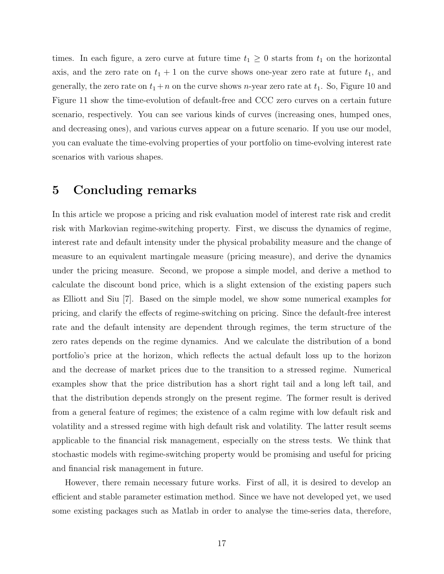times. In each figure, a zero curve at future time  $t_1 \geq 0$  starts from  $t_1$  on the horizontal axis, and the zero rate on  $t_1 + 1$  on the curve shows one-year zero rate at future  $t_1$ , and generally, the zero rate on  $t_1 + n$  on the curve shows *n*-year zero rate at  $t_1$ . So, Figure 10 and Figure 11 show the time-evolution of default-free and CCC zero curves on a certain future scenario, respectively. You can see various kinds of curves (increasing ones, humped ones, and decreasing ones), and various curves appear on a future scenario. If you use our model, you can evaluate the time-evolving properties of your portfolio on time-evolving interest rate scenarios with various shapes.

### **5 Concluding remarks**

In this article we propose a pricing and risk evaluation model of interest rate risk and credit risk with Markovian regime-switching property. First, we discuss the dynamics of regime, interest rate and default intensity under the physical probability measure and the change of measure to an equivalent martingale measure (pricing measure), and derive the dynamics under the pricing measure. Second, we propose a simple model, and derive a method to calculate the discount bond price, which is a slight extension of the existing papers such as Elliott and Siu [7]. Based on the simple model, we show some numerical examples for pricing, and clarify the effects of regime-switching on pricing. Since the default-free interest rate and the default intensity are dependent through regimes, the term structure of the zero rates depends on the regime dynamics. And we calculate the distribution of a bond portfolio's price at the horizon, which reflects the actual default loss up to the horizon and the decrease of market prices due to the transition to a stressed regime. Numerical examples show that the price distribution has a short right tail and a long left tail, and that the distribution depends strongly on the present regime. The former result is derived from a general feature of regimes; the existence of a calm regime with low default risk and volatility and a stressed regime with high default risk and volatility. The latter result seems applicable to the financial risk management, especially on the stress tests. We think that stochastic models with regime-switching property would be promising and useful for pricing and financial risk management in future.

However, there remain necessary future works. First of all, it is desired to develop an efficient and stable parameter estimation method. Since we have not developed yet, we used some existing packages such as Matlab in order to analyse the time-series data, therefore,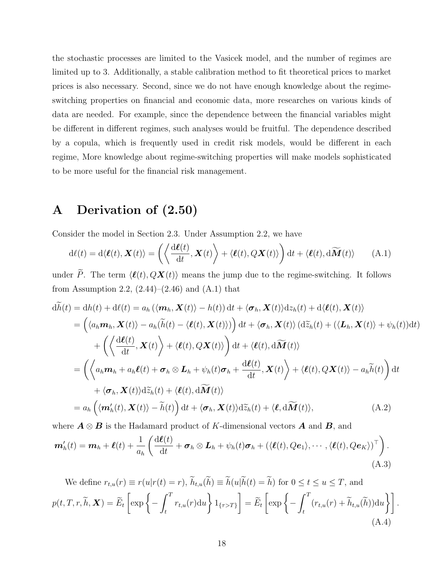the stochastic processes are limited to the Vasicek model, and the number of regimes are limited up to 3. Additionally, a stable calibration method to fit theoretical prices to market prices is also necessary. Second, since we do not have enough knowledge about the regimeswitching properties on financial and economic data, more researches on various kinds of data are needed. For example, since the dependence between the financial variables might be different in different regimes, such analyses would be fruitful. The dependence described by a copula, which is frequently used in credit risk models, would be different in each regime, More knowledge about regime-switching properties will make models sophisticated to be more useful for the financial risk management.

## **A Derivation of (2.50)**

Consider the model in Section 2.3. Under Assumption 2.2, we have

$$
d\ell(t) = d\langle \boldsymbol{\ell}(t), \boldsymbol{X}(t) \rangle = \left( \left\langle \frac{d\boldsymbol{\ell}(t)}{dt}, \boldsymbol{X}(t) \right\rangle + \left\langle \boldsymbol{\ell}(t), Q\boldsymbol{X}(t) \right\rangle \right) dt + \langle \boldsymbol{\ell}(t), d\widetilde{\boldsymbol{M}}(t) \rangle \tag{A.1}
$$

under *P*. The term  $\langle \ell(t), QX(t) \rangle$  means the jump due to the regime-switching. It follows from Assumption 2.2,  $(2.44)$ – $(2.46)$  and  $(A.1)$  that

$$
d\widetilde{h}(t) = dh(t) + d\ell(t) = a_h(\langle \mathbf{m}_h, \mathbf{X}(t) \rangle - h(t)) dt + \langle \mathbf{\sigma}_h, \mathbf{X}(t) \rangle dz_h(t) + d\langle \mathbf{\ell}(t), \mathbf{X}(t) \rangle
$$
  
\n
$$
= (\langle a_h \mathbf{m}_h, \mathbf{X}(t) \rangle - a_h(\widetilde{h}(t) - \langle \mathbf{\ell}(t), \mathbf{X}(t) \rangle)) dt + \langle \mathbf{\sigma}_h, \mathbf{X}(t) \rangle (d\widetilde{z}_h(t) + (\langle \mathbf{L}_h, \mathbf{X}(t) \rangle + \psi_h(t)) dt)
$$
  
\n
$$
+ (\langle \frac{d\ell(t)}{dt}, \mathbf{X}(t) \rangle + \langle \mathbf{\ell}(t), Q\mathbf{X}(t) \rangle) dt + \langle \mathbf{\ell}(t), d\widetilde{\mathbf{M}}(t) \rangle
$$
  
\n
$$
= (\langle a_h \mathbf{m}_h + a_h \mathbf{\ell}(t) + \mathbf{\sigma}_h \otimes \mathbf{L}_h + \psi_h(t) \mathbf{\sigma}_h + \frac{d\ell(t)}{dt}, \mathbf{X}(t) \rangle + \langle \mathbf{\ell}(t), Q\mathbf{X}(t) \rangle - a_h \widetilde{h}(t) dt + \langle \mathbf{\sigma}_h, \mathbf{X}(t) \rangle d\widetilde{z}_h(t) + \langle \mathbf{\ell}(t), d\widetilde{\mathbf{M}}(t) \rangle
$$
  
\n
$$
= a_h (\langle \mathbf{m}'_h(t), \mathbf{X}(t) \rangle - \widetilde{h}(t)) dt + \langle \mathbf{\sigma}_h, \mathbf{X}(t) \rangle d\widetilde{z}_h(t) + \langle \mathbf{\ell}, d\widetilde{\mathbf{M}}(t) \rangle, \qquad (A.2)
$$

where  $A \otimes B$  is the Hadamard product of *K*-dimensional vectors  $A$  and  $B$ , and

$$
\mathbf{m}'_h(t) = \mathbf{m}_h + \boldsymbol{\ell}(t) + \frac{1}{a_h} \left( \frac{\mathrm{d}\boldsymbol{\ell}(t)}{\mathrm{d}t} + \boldsymbol{\sigma}_h \otimes \mathbf{L}_h + \psi_h(t)\boldsymbol{\sigma}_h + (\langle \boldsymbol{\ell}(t), Q\boldsymbol{e}_1 \rangle, \cdots, \langle \boldsymbol{\ell}(t), Q\boldsymbol{e}_K \rangle)^\top \right).
$$
\n(A.3)

We define  $r_{t,u}(r) \equiv r(u|r(t) = r)$ ,  $\widetilde{h}_{t,u}(\widetilde{h}) \equiv \widetilde{h}(u|\widetilde{h}(t) = \widetilde{h})$  for  $0 \le t \le u \le T$ , and  $p(t, T, r, \widetilde{h}, \boldsymbol{X}) = \widetilde{E}_t \left[ \exp \bigg\{ -\int_t^T$ *t*  $r_{t,u}(r) \text{d}u \left\{ 1_{\{\tau>T\}} \right\} = \widetilde{E}_t \left[ \exp \left\{-\int_t^T \right]$  $\left\{ \int_t^T (r_{t,u}(r) + \widetilde{h}_{t,u}(\widetilde{h})) \mathrm{d}u \right\} \right].$ (A.4)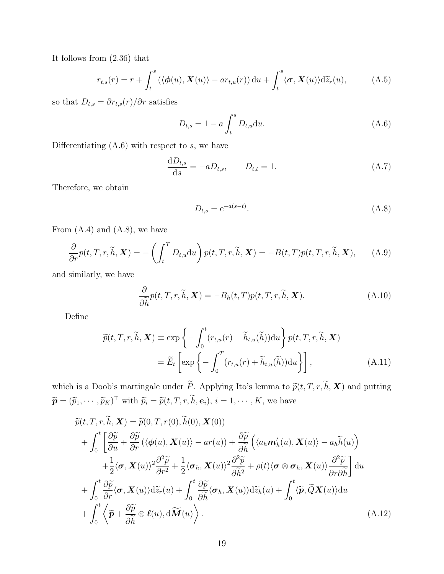It follows from (2.36) that

$$
r_{t,s}(r) = r + \int_t^s (\langle \phi(u), \mathbf{X}(u) \rangle - ar_{t,u}(r)) \, \mathrm{d}u + \int_t^s \langle \boldsymbol{\sigma}, \mathbf{X}(u) \rangle \mathrm{d} \widetilde{z}_r(u), \tag{A.5}
$$

so that  $D_{t,s} = \partial r_{t,s}(r)/\partial r$  satisfies

$$
D_{t,s} = 1 - a \int_{t}^{s} D_{t,u} \, \mathrm{d}u. \tag{A.6}
$$

Differentiating (A.6) with respect to *s*, we have

$$
\frac{\mathrm{d}D_{t,s}}{\mathrm{d}s} = -aD_{t,s}, \qquad D_{t,t} = 1. \tag{A.7}
$$

Therefore, we obtain

$$
D_{t,s} = e^{-a(s-t)}.
$$
\n(A.8)

From  $(A.4)$  and  $(A.8)$ , we have

$$
\frac{\partial}{\partial r}p(t,T,r,\widetilde{h},\mathbf{X})=-\left(\int_{t}^{T}D_{t,u}\mathrm{d}u\right)p(t,T,r,\widetilde{h},\mathbf{X})=-B(t,T)p(t,T,r,\widetilde{h},\mathbf{X}),\qquad(A.9)
$$

and similarly, we have

$$
\frac{\partial}{\partial \widetilde{h}}p(t,T,r,\widetilde{h},\mathbf{X}) = -B_h(t,T)p(t,T,r,\widetilde{h},\mathbf{X}).
$$
\n(A.10)

Define

$$
\widetilde{p}(t,T,r,\widetilde{h},\boldsymbol{X}) \equiv \exp\left\{-\int_0^t (r_{t,u}(r) + \widetilde{h}_{t,u}(\widetilde{h}))\mathrm{d}u\right\}p(t,T,r,\widetilde{h},\boldsymbol{X})
$$
\n
$$
= \widetilde{E}_t\left[\exp\left\{-\int_0^T (r_{t,u}(r) + \widetilde{h}_{t,u}(\widetilde{h}))\mathrm{d}u\right\}\right],\tag{A.11}
$$

which is a Doob's martingale under  $\widetilde{P}$ . Applying Ito's lemma to  $\widetilde{p}(t, T, r, \widetilde{h}, \mathbf{X})$  and putting  $\widetilde{\boldsymbol{p}} = (\widetilde{p}_1, \cdots, \widetilde{p}_K)^\top$  with  $\widetilde{p}_i = \widetilde{p}(t, T, r, h, \boldsymbol{e}_i), i = 1, \cdots, K$ , we have

$$
\widetilde{p}(t,T,r,\widetilde{h},\mathbf{X}) = \widetilde{p}(0,T,r(0),\widetilde{h}(0),\mathbf{X}(0)) \n+ \int_0^t \left[ \frac{\partial \widetilde{p}}{\partial u} + \frac{\partial \widetilde{p}}{\partial r} (\langle \phi(u), \mathbf{X}(u) \rangle - ar(u)) + \frac{\partial \widetilde{p}}{\partial \widetilde{h}} \left( \langle a_h \mathbf{m}'_h(u), \mathbf{X}(u) \rangle - a_h \widetilde{h}(u) \right) \n+ \frac{1}{2} \langle \boldsymbol{\sigma}, \mathbf{X}(u) \rangle^2 \frac{\partial^2 \widetilde{p}}{\partial r^2} + \frac{1}{2} \langle \boldsymbol{\sigma}_h, \mathbf{X}(u) \rangle^2 \frac{\partial^2 \widetilde{p}}{\partial \widetilde{h}^2} + \rho(t) \langle \boldsymbol{\sigma} \otimes \boldsymbol{\sigma}_h, \mathbf{X}(u) \rangle \frac{\partial^2 \widetilde{p}}{\partial r \partial \widetilde{h}} \right] du \n+ \int_0^t \frac{\partial \widetilde{p}}{\partial r} \langle \boldsymbol{\sigma}, \mathbf{X}(u) \rangle d\widetilde{z}_r(u) + \int_0^t \frac{\partial \widetilde{p}}{\partial \widetilde{h}} \langle \boldsymbol{\sigma}_h, \mathbf{X}(u) \rangle d\widetilde{z}_h(u) + \int_0^t \langle \widetilde{p}, \widetilde{Q} \mathbf{X}(u) \rangle du \n+ \int_0^t \langle \widetilde{p} + \frac{\partial \widetilde{p}}{\partial \widetilde{h}} \otimes \ell(u), d\widetilde{M}(u) \rangle.
$$
\n(A.12)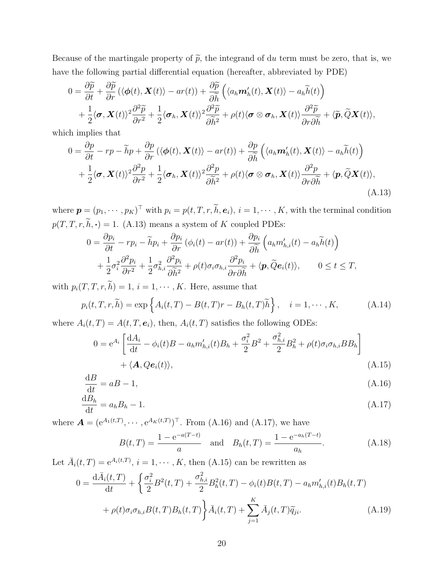Because of the martingale property of  $\tilde{p}$ , the integrand of du term must be zero, that is, we have the following partial differential equation (hereafter, abbreviated by PDE)

$$
0 = \frac{\partial \widetilde{p}}{\partial t} + \frac{\partial \widetilde{p}}{\partial r} (\langle \phi(t), \mathbf{X}(t) \rangle - ar(t)) + \frac{\partial \widetilde{p}}{\partial \widetilde{h}} \left( \langle a_h \mathbf{m}'_h(t), \mathbf{X}(t) \rangle - a_h \widetilde{h}(t) \right) + \frac{1}{2} \langle \boldsymbol{\sigma}, \mathbf{X}(t) \rangle^2 \frac{\partial^2 \widetilde{p}}{\partial r^2} + \frac{1}{2} \langle \boldsymbol{\sigma}_h, \mathbf{X}(t) \rangle^2 \frac{\partial^2 \widetilde{p}}{\partial \widetilde{h}^2} + \rho(t) \langle \boldsymbol{\sigma} \otimes \boldsymbol{\sigma}_h, \mathbf{X}(t) \rangle \frac{\partial^2 \widetilde{p}}{\partial r \partial \widetilde{h}} + \langle \widetilde{\boldsymbol{p}}, \widetilde{Q} \mathbf{X}(t) \rangle,
$$

which implies that

$$
0 = \frac{\partial p}{\partial t} - rp - \widetilde{h}p + \frac{\partial p}{\partial r} (\langle \phi(t), \mathbf{X}(t) \rangle - ar(t)) + \frac{\partial p}{\partial \widetilde{h}} \left( \langle a_h \mathbf{m}'_h(t), \mathbf{X}(t) \rangle - a_h \widetilde{h}(t) \right) + \frac{1}{2} \langle \boldsymbol{\sigma}, \mathbf{X}(t) \rangle^2 \frac{\partial^2 p}{\partial r^2} + \frac{1}{2} \langle \boldsymbol{\sigma}_h, \mathbf{X}(t) \rangle^2 \frac{\partial^2 p}{\partial \widetilde{h}^2} + \rho(t) \langle \boldsymbol{\sigma} \otimes \boldsymbol{\sigma}_h, \mathbf{X}(t) \rangle \frac{\partial^2 p}{\partial r \partial \widetilde{h}} + \langle \boldsymbol{p}, \widetilde{Q} \mathbf{X}(t) \rangle, \tag{A.13}
$$

where  $\mathbf{p} = (p_1, \dots, p_K)^\top$  with  $p_i = p(t, T, r, h, \mathbf{e}_i)$ ,  $i = 1, \dots, K$ , with the terminal condition  $p(T, T, r, \tilde{h}, \cdot) = 1$ . (A.13) means a system of *K* coupled PDEs:

$$
0 = \frac{\partial p_i}{\partial t} - rp_i - \widetilde{h}p_i + \frac{\partial p_i}{\partial r} (\phi_i(t) - ar(t)) + \frac{\partial p_i}{\partial \widetilde{h}} \left( a_h m'_{h,i}(t) - a_h \widetilde{h}(t) \right) + \frac{1}{2} \sigma_i^2 \frac{\partial^2 p_i}{\partial r^2} + \frac{1}{2} \sigma_{h,i}^2 \frac{\partial^2 p_i}{\partial \widetilde{h}^2} + \rho(t) \sigma_i \sigma_{h,i} \frac{\partial^2 p_i}{\partial r \partial \widetilde{h}} + \langle \boldsymbol{p}, \widetilde{Q} \boldsymbol{e}_i(t) \rangle, \qquad 0 \le t \le T,
$$

with  $p_i(T, T, r, h) = 1$ ,  $i = 1, \dots, K$ . Here, assume that

$$
p_i(t, T, r, \widetilde{h}) = \exp\left\{A_i(t, T) - B(t, T)r - B_h(t, T)\widetilde{h}\right\}, \quad i = 1, \cdots, K,
$$
 (A.14)

where  $A_i(t, T) = A(t, T, e_i)$ , then,  $A_i(t, T)$  satisfies the following ODEs:

$$
0 = e^{A_i} \left[ \frac{dA_i}{dt} - \phi_i(t)B - a_h m'_{h,i}(t)B_h + \frac{\sigma_i^2}{2}B^2 + \frac{\sigma_{h,i}^2}{2}B_h^2 + \rho(t)\sigma_i \sigma_{h,i} BB_h \right] + \langle \mathbf{A}, Q\mathbf{e}_i(t) \rangle, \tag{A.15}
$$

$$
\frac{\mathrm{d}B}{\mathrm{d}t} = aB - 1,\tag{A.16}
$$

$$
\frac{\mathrm{d}B_h}{\mathrm{d}t} = a_h B_h - 1.\tag{A.17}
$$

where  $A = (e^{A_1(t,T)}, \dots, e^{A_K(t,T)})^{\top}$ . From (A.16) and (A.17), we have

$$
B(t,T) = \frac{1 - e^{-a(T-t)}}{a} \quad \text{and} \quad B_h(t,T) = \frac{1 - e^{-a_h(T-t)}}{a_h}.
$$
 (A.18)

Let  $\bar{A}_i(t,T) = e^{A_i(t,T)}$ ,  $i = 1, \dots, K$ , then (A.15) can be rewritten as

$$
0 = \frac{d\bar{A}_i(t,T)}{dt} + \left\{ \frac{\sigma_i^2}{2} B^2(t,T) + \frac{\sigma_{h,i}^2}{2} B_h^2(t,T) - \phi_i(t) B(t,T) - a_h m_{h,i}'(t) B_h(t,T) \right. \\ + \rho(t) \sigma_i \sigma_{h,i} B(t,T) B_h(t,T) \left\{ \bar{A}_i(t,T) + \sum_{j=1}^K \bar{A}_j(t,T) \widetilde{q}_{ji} . \right. \tag{A.19}
$$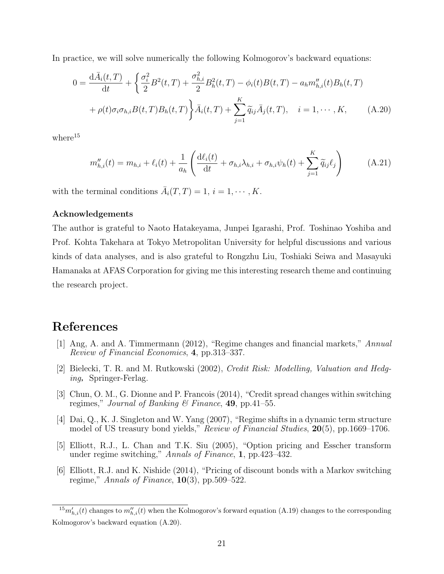In practice, we will solve numerically the following Kolmogorov's backward equations:

$$
0 = \frac{d\bar{A}_i(t,T)}{dt} + \left\{ \frac{\sigma_i^2}{2} B^2(t,T) + \frac{\sigma_{h,i}^2}{2} B_h^2(t,T) - \phi_i(t) B(t,T) - a_h m_{h,i}''(t) B_h(t,T) \right. \\ + \rho(t)\sigma_i\sigma_{h,i}B(t,T)B_h(t,T) \left\{ \bar{A}_i(t,T) + \sum_{j=1}^K \widetilde{q}_{ij}\bar{A}_j(t,T), \quad i = 1, \cdots, K, \tag{A.20}
$$

where $15$ 

$$
m_{h,i}''(t) = m_{h,i} + \ell_i(t) + \frac{1}{a_h} \left( \frac{\mathrm{d}\ell_i(t)}{\mathrm{d}t} + \sigma_{h,i} \lambda_{h,i} + \sigma_{h,i} \psi_h(t) + \sum_{j=1}^K \widetilde{q}_{ij} \ell_j \right) \tag{A.21}
$$

with the terminal conditions  $\bar{A}_i(T,T) = 1, i = 1, \cdots, K$ .

#### **Acknowledgements**

The author is grateful to Naoto Hatakeyama, Junpei Igarashi, Prof. Toshinao Yoshiba and Prof. Kohta Takehara at Tokyo Metropolitan University for helpful discussions and various kinds of data analyses, and is also grateful to Rongzhu Liu, Toshiaki Seiwa and Masayuki Hamanaka at AFAS Corporation for giving me this interesting research theme and continuing the research project.

### **References**

- [1] Ang, A. and A. Timmermann (2012), "Regime changes and financial markets," *Annual Review of Financial Economics*, **4**, pp.313–337.
- [2] Bielecki, T. R. and M. Rutkowski (2002), *Credit Risk: Modelling, Valuation and Hedging*, Springer-Ferlag.
- [3] Chun, O. M., G. Dionne and P. Francois (2014), "Credit spread changes within switching regimes," *Journal of Banking & Finance*, **49**, pp.41–55.
- [4] Dai, Q., K. J. Singleton and W. Yang (2007), "Regime shifts in a dynamic term structure model of US treasury bond yields," *Review of Financial Studies*, **20**(5), pp.1669–1706.
- [5] Elliott, R.J., L. Chan and T.K. Siu (2005), "Option pricing and Esscher transform under regime switching," *Annals of Finance*, **1**, pp.423–432.
- [6] Elliott, R.J. and K. Nishide (2014), "Pricing of discount bonds with a Markov switching regime," *Annals of Finance*, **10**(3), pp.509–522.

 $^{15}m'_{h,i}(t)$  changes to  $m''_{h,i}(t)$  when the Kolmogorov's forward equation (A.19) changes to the corresponding Kolmogorov's backward equation (A.20).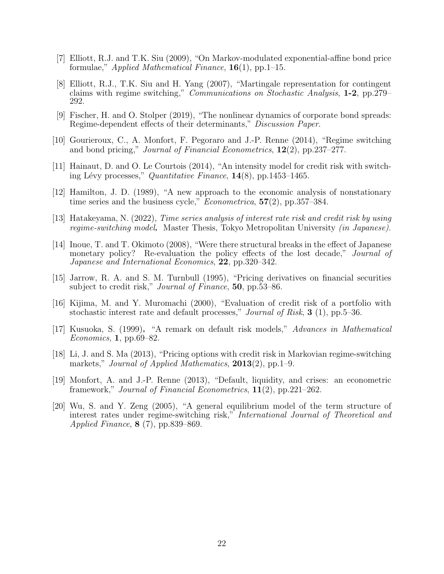- [7] Elliott, R.J. and T.K. Siu (2009), "On Markov-modulated exponential-affine bond price formulae," *Applied Mathematical Finance*, **16**(1), pp.1–15.
- [8] Elliott, R.J., T.K. Siu and H. Yang (2007), "Martingale representation for contingent claims with regime switching," *Communications on Stochastic Analysis*, **1-2**, pp.279– 292.
- [9] Fischer, H. and O. Stolper (2019), "The nonlinear dynamics of corporate bond spreads: Regime-dependent effects of their determinants," *Discussion Paper*.
- [10] Gourieroux, C., A. Monfort, F. Pegoraro and J.-P. Renne (2014), "Regime switching and bond pricing," *Journal of Financial Econometrics*, **12**(2), pp.237–277.
- [11] Hainaut, D. and O. Le Courtois (2014), "An intensity model for credit risk with switching L´evy processes," *Quantitative Finance*, **14**(8), pp.1453–1465.
- [12] Hamilton, J. D. (1989), "A new approach to the economic analysis of nonstationary time series and the business cycle," *Econometrica*, **57**(2), pp.357–384.
- [13] Hatakeyama, N. (2022), *Time series analysis of interest rate risk and credit risk by using regime-switching model, Master Thesis, Tokyo Metropolitan University <i>(in Japanese)*.
- [14] Inoue, T. and T. Okimoto (2008), "Were there structural breaks in the effect of Japanese monetary policy? Re-evaluation the policy effects of the lost decade," *Journal of Japanese and International Economics*, **22**, pp.320–342.
- [15] Jarrow, R. A. and S. M. Turnbull (1995), "Pricing derivatives on financial securities subject to credit risk," *Journal of Finance*, **50**, pp.53–86.
- [16] Kijima, M. and Y. Muromachi (2000), "Evaluation of credit risk of a portfolio with stochastic interest rate and default processes," *Journal of Risk*, **3** (1), pp.5–36.
- [17] Kusuoka, S. (1999),"A remark on default risk models," *Advances in Mathematical Economics*, **1**, pp.69–82.
- [18] Li, J. and S. Ma (2013), "Pricing options with credit risk in Markovian regime-switching markets," *Journal of Applied Mathematics*, **2013**(2), pp.1–9.
- [19] Monfort, A. and J.-P. Renne (2013), "Default, liquidity, and crises: an econometric framework," *Journal of Financial Econometrics*, **11**(2), pp.221–262.
- [20] Wu, S. and Y. Zeng (2005), "A general equilibrium model of the term structure of interest rates under regime-switching risk," *International Journal of Theoretical and Applied Finance*, **8** (7), pp.839–869.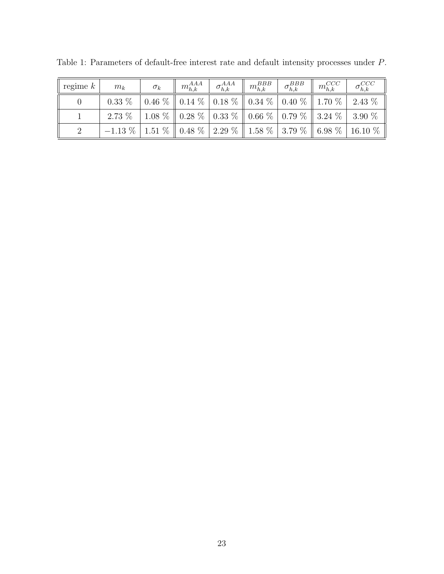| regime $k$ | $m_k$                                                                 | $\sigma_k$ | $\parallel m_{h,k}^{AAA} \parallel \sigma_{h,k}^{AAA} \parallel m_{h,k}^{BBB} \parallel$ |  | $\sigma_{h,k}^{BBB}$ $\parallel$ $m_{h,k}^{CCC}$ | $\sigma^{CCC}_{h,k}$                                                      |
|------------|-----------------------------------------------------------------------|------------|------------------------------------------------------------------------------------------|--|--------------------------------------------------|---------------------------------------------------------------------------|
|            |                                                                       |            |                                                                                          |  |                                                  |                                                                           |
|            | 2.73 %   1.08 %   0.28 %   0.33 %   0.66 %   0.79 %   3.24 %   3.90 % |            |                                                                                          |  |                                                  |                                                                           |
|            |                                                                       |            |                                                                                          |  |                                                  | $-1.13\%$   1.51 %   0.48 %   2.29 %   1.58 %   3.79 %   6.98 %   16.10 % |

Table 1: Parameters of default-free interest rate and default intensity processes under *P*.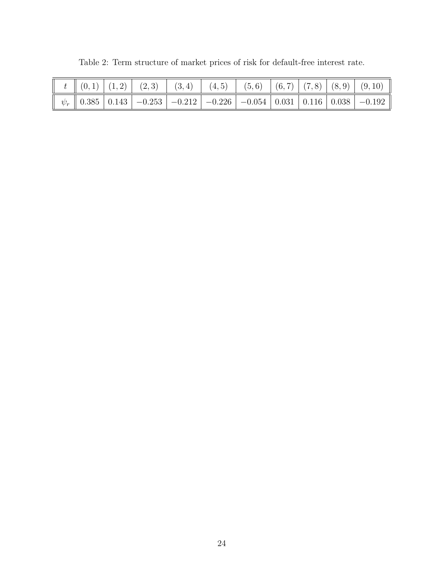|  |  | $t \rVert (0,1) (1,2) (2,3) (3,4) (4,5) (5,6) (6,7) (7,8) (8,9) (9,10)$ |  |  |                                                                           |
|--|--|-------------------------------------------------------------------------|--|--|---------------------------------------------------------------------------|
|  |  |                                                                         |  |  | $\psi_r$ 0.385 0.143 -0.253 -0.212 -0.226 -0.054 0.031 0.116 0.038 -0.192 |

Table 2: Term structure of market prices of risk for default-free interest rate.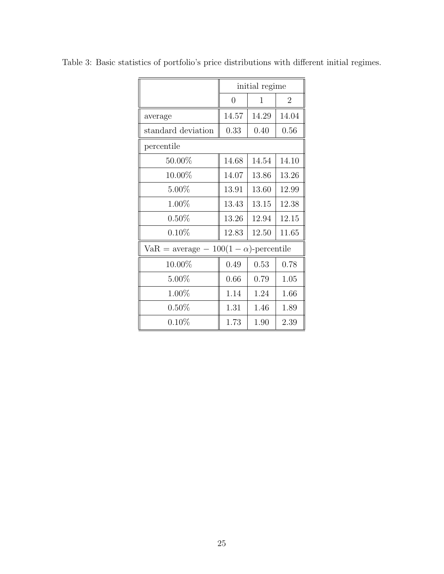|                                               | initial regime |              |                |  |  |  |  |  |
|-----------------------------------------------|----------------|--------------|----------------|--|--|--|--|--|
|                                               | $\overline{0}$ | $\mathbf{1}$ | $\overline{2}$ |  |  |  |  |  |
| average                                       | 14.57          | 14.29        | 14.04          |  |  |  |  |  |
| standard deviation                            | 0.33           | 0.40         | 0.56           |  |  |  |  |  |
| percentile                                    |                |              |                |  |  |  |  |  |
| 50.00%                                        | 14.68          | 14.54        | 14.10          |  |  |  |  |  |
| 10.00%                                        | 14.07          | 13.86        | 13.26          |  |  |  |  |  |
| $5.00\%$                                      | 13.91          | 13.60        | 12.99          |  |  |  |  |  |
| $1.00\%$                                      | 13.43          | 13.15        | 12.38          |  |  |  |  |  |
| $0.50\%$                                      | 13.26          | 12.94        | 12.15          |  |  |  |  |  |
| $0.10\%$                                      | 12.83          | 12.50        | 11.65          |  |  |  |  |  |
| $VaR = average - 100(1 - \alpha)$ -percentile |                |              |                |  |  |  |  |  |
| 10.00%                                        | 0.49           | 0.53         | 0.78           |  |  |  |  |  |
| $5.00\%$                                      | 0.66           | 0.79         | 1.05           |  |  |  |  |  |
| 1.00%                                         | 1.14           | 1.24         | 1.66           |  |  |  |  |  |
| $0.50\%$                                      | 1.31           | 1.46         | 1.89           |  |  |  |  |  |
| $0.10\%$                                      | 1.73           | 1.90         | 2.39           |  |  |  |  |  |

Table 3: Basic statistics of portfolio's price distributions with different initial regimes.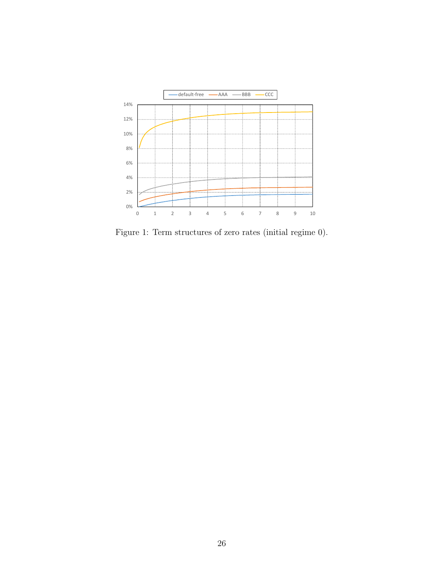

Figure 1: Term structures of zero rates (initial regime 0).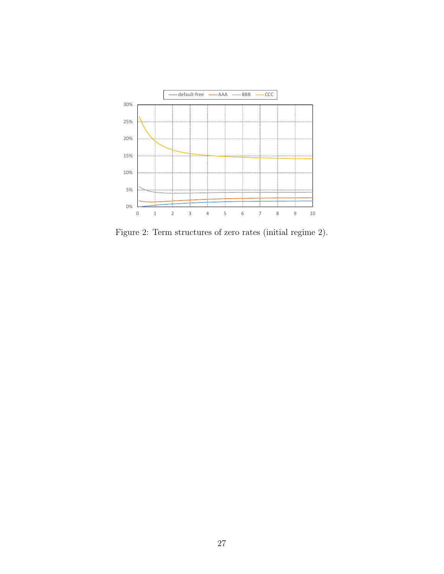

Figure 2: Term structures of zero rates (initial regime 2).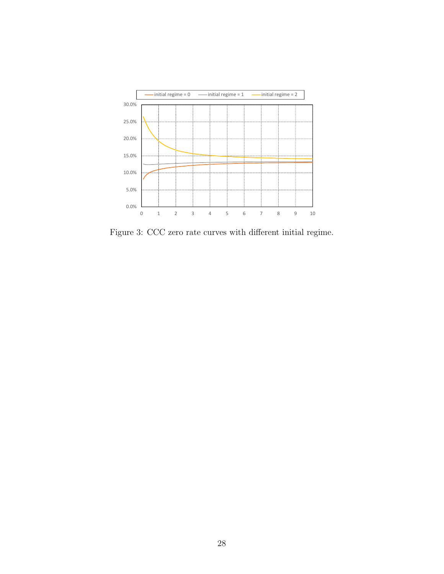

Figure 3: CCC zero rate curves with different initial regime.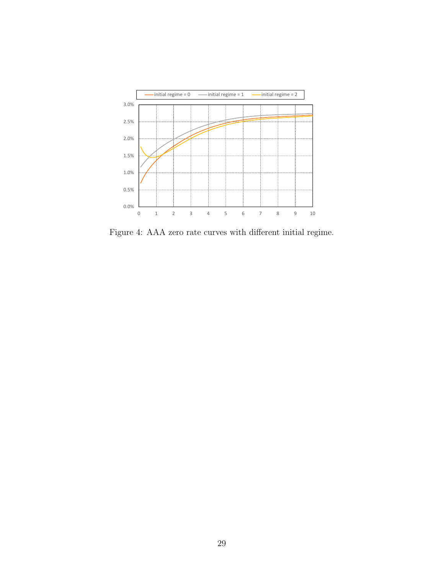

Figure 4: AAA zero rate curves with different initial regime.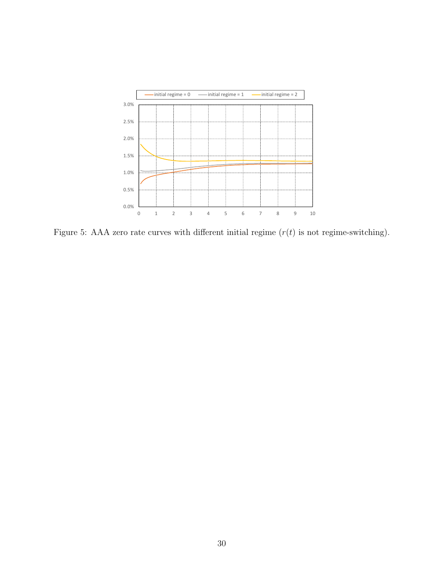

Figure 5: AAA zero rate curves with different initial regime  $(r(t)$  is not regime-switching).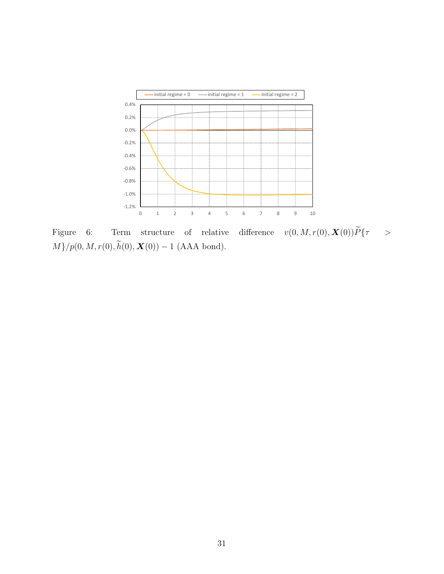

 $\begin{array}{lllllll} \mbox{Figure} & 6: & \mbox{Term} & \mbox{structure} & \mbox{of} & \mbox{relative} & \mbox{difference} & v(0,M,r(0),\boldsymbol{X}(0)) \widetilde{P} \{ \tau & > \tau \} \end{array}$  $M\}/p(0,M,r(0),\widetilde{h}(0),\boldsymbol{X}(0))$  <sup>−</sup> 1 (AAA bond).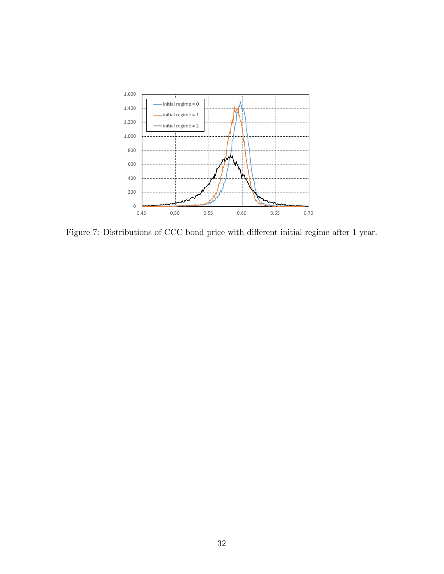

Figure 7: Distributions of CCC bond price with different initial regime after 1 year.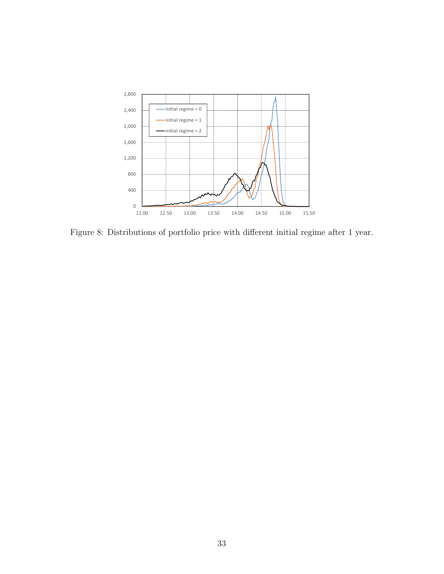

Figure 8: Distributions of portfolio price with different initial regime after 1 year.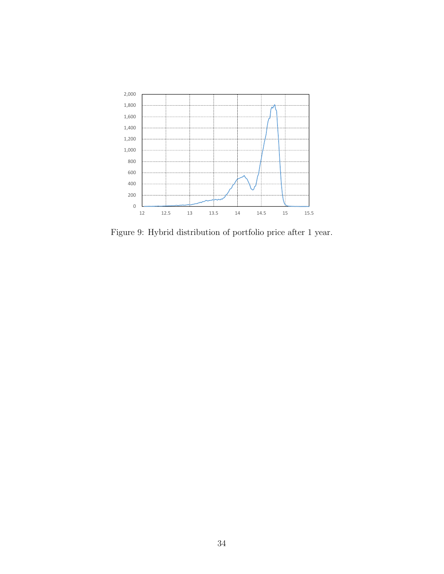

Figure 9: Hybrid distribution of portfolio price after 1 year.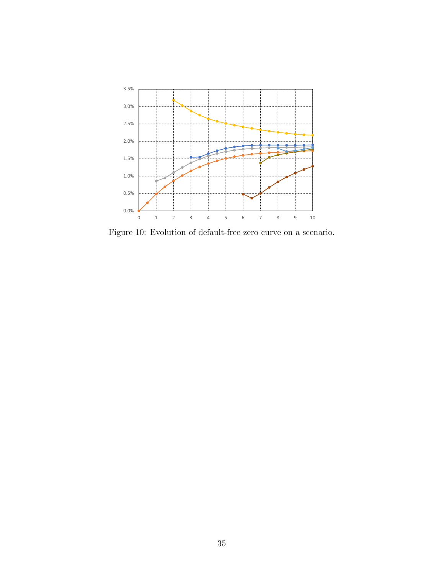

Figure 10: Evolution of default-free zero curve on a scenario.